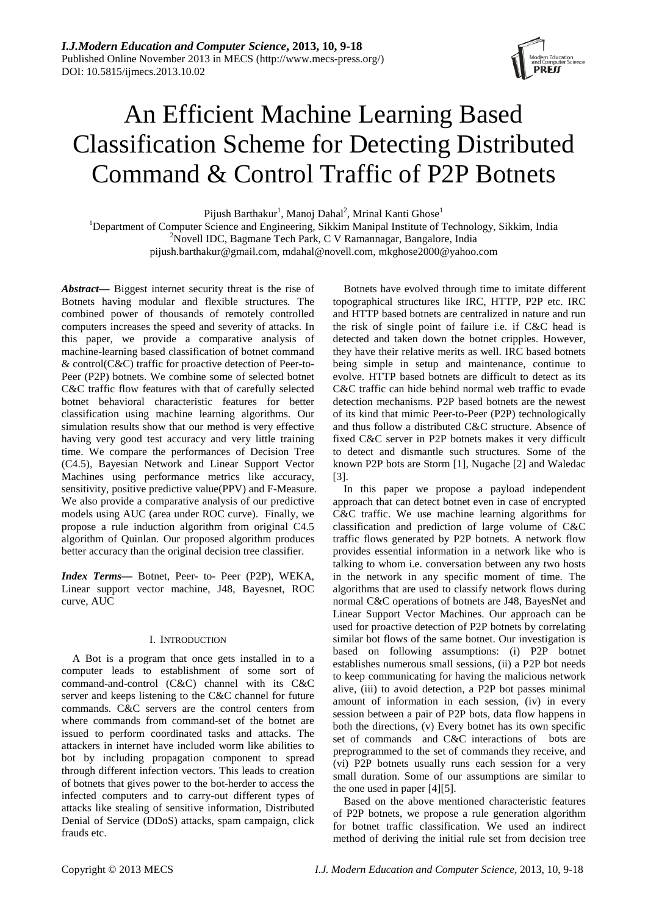# An Efficient Machine Learning Based Classification Scheme for Detecting Distributed Command & Control Traffic of P2P Botnets

Pijush Barthakur<sup>1</sup>, Manoj Dahal<sup>2</sup>, Mrinal Kanti Ghose<sup>1</sup> <sup>1</sup>Department of Computer Science and Engineering, Sikkim Manipal Institute of Technology, Sikkim, India  ${}^{2}$ Novall IDC. Begmann Technology, Pengannager, Bengalara, India <sup>2</sup>Novell IDC, Bagmane Tech Park, C V Ramannagar, Bangalore, India pijush.barthakur@gmail.com, mdahal@novell.com, mkghose2000@yahoo.com

*Abstract—* Biggest internet security threat is the rise of Botnets having modular and flexible structures. The combined power of thousands of remotely controlled computers increases the speed and severity of attacks. In this paper, we provide a comparative analysis of machine-learning based classification of botnet command & control(C&C) traffic for proactive detection of Peer-to-Peer (P2P) botnets. We combine some of selected botnet C&C traffic flow features with that of carefully selected botnet behavioral characteristic features for better classification using machine learning algorithms. Our simulation results show that our method is very effective having very good test accuracy and very little training time. We compare the performances of Decision Tree (C4.5), Bayesian Network and Linear Support Vector Machines using performance metrics like accuracy, sensitivity, positive predictive value(PPV) and F-Measure. We also provide a comparative analysis of our predictive models using AUC (area under ROC curve). Finally, we propose a rule induction algorithm from original C4.5 algorithm of Quinlan. Our proposed algorithm produces better accuracy than the original decision tree classifier.

*Index Terms***—** Botnet, Peer- to- Peer (P2P), WEKA, Linear support vector machine, J48, Bayesnet, ROC curve, AUC

# I. INTRODUCTION

A Bot is a program that once gets installed in to a computer leads to establishment of some sort of command-and-control (C&C) channel with its C&C server and keeps listening to the C&C channel for future commands. C&C servers are the control centers from where commands from command-set of the botnet are issued to perform coordinated tasks and attacks. The attackers in internet have included worm like abilities to bot by including propagation component to spread through different infection vectors. This leads to creation of botnets that gives power to the bot-herder to access the infected computers and to carry-out different types of attacks like stealing of sensitive information, Distributed Denial of Service (DDoS) attacks, spam campaign, click frauds etc.

Botnets have evolved through time to imitate different topographical structures like IRC, HTTP, P2P etc. IRC and HTTP based botnets are centralized in nature and run the risk of single point of failure i.e. if C&C head is detected and taken down the botnet cripples. However, they have their relative merits as well. IRC based botnets being simple in setup and maintenance, continue to evolve. HTTP based botnets are difficult to detect as its C&C traffic can hide behind normal web traffic to evade detection mechanisms. P2P based botnets are the newest of its kind that mimic Peer-to-Peer (P2P) technologically and thus follow a distributed C&C structure. Absence of fixed C&C server in P2P botnets makes it very difficult to detect and dismantle such structures. Some of the known P2P bots are Storm [1], Nugache [2] and Waledac [3].

In this paper we propose a payload independent approach that can detect botnet even in case of encrypted C&C traffic. We use machine learning algorithms for classification and prediction of large volume of C&C traffic flows generated by P2P botnets. A network flow provides essential information in a network like who is talking to whom i.e. conversation between any two hosts in the network in any specific moment of time. The algorithms that are used to classify network flows during normal C&C operations of botnets are J48, BayesNet and Linear Support Vector Machines. Our approach can be used for proactive detection of P2P botnets by correlating similar bot flows of the same botnet. Our investigation is based on following assumptions: (i) P2P botnet establishes numerous small sessions, (ii) a P2P bot needs to keep communicating for having the malicious network alive, (iii) to avoid detection, a P2P bot passes minimal amount of information in each session, (iv) in every session between a pair of P2P bots, data flow happens in both the directions, (v) Every botnet has its own specific set of commands and C&C interactions of bots are preprogrammed to the set of commands they receive, and (vi) P2P botnets usually runs each session for a very small duration. Some of our assumptions are similar to the one used in paper [4][5].

Based on the above mentioned characteristic features of P2P botnets, we propose a rule generation algorithm for botnet traffic classification. We used an indirect method of deriving the initial rule set from decision tree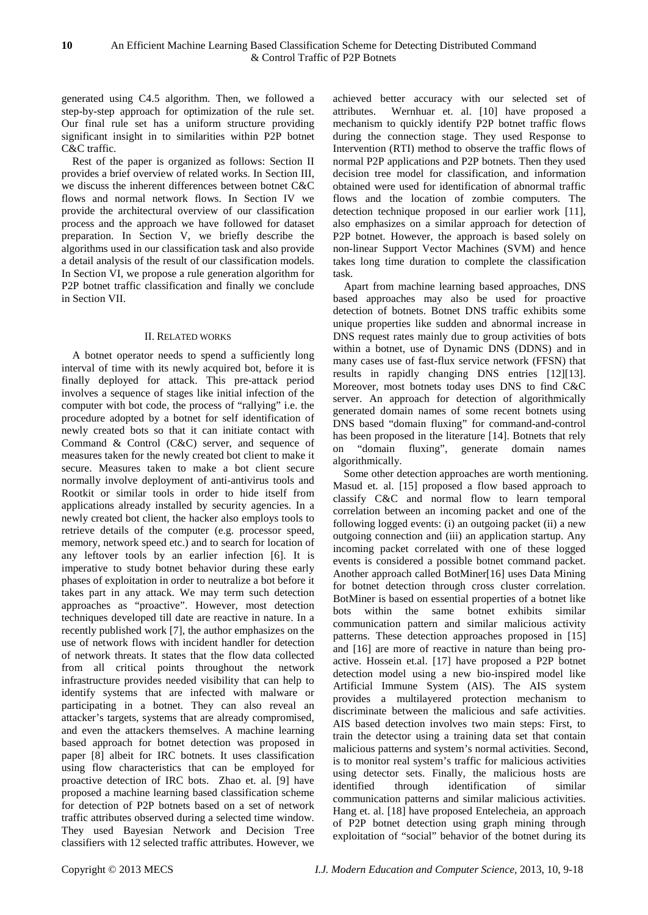generated using C4.5 algorithm. Then, we followed a step-by-step approach for optimization of the rule set. Our final rule set has a uniform structure providing significant insight in to similarities within P2P botnet C&C traffic.

Rest of the paper is organized as follows: Section II provides a brief overview of related works. In Section III, we discuss the inherent differences between botnet C&C flows and normal network flows. In Section IV we provide the architectural overview of our classification process and the approach we have followed for dataset preparation. In Section V, we briefly describe the algorithms used in our classification task and also provide a detail analysis of the result of our classification models. In Section VI, we propose a rule generation algorithm for P2P botnet traffic classification and finally we conclude in Section VII.

## II. RELATED WORKS

A botnet operator needs to spend a sufficiently long interval of time with its newly acquired bot, before it is finally deployed for attack. This pre-attack period involves a sequence of stages like initial infection of the computer with bot code, the process of "rallying" i.e. the procedure adopted by a botnet for self identification of newly created bots so that it can initiate contact with Command & Control (C&C) server, and sequence of measures taken for the newly created bot client to make it secure. Measures taken to make a bot client secure normally involve deployment of anti-antivirus tools and Rootkit or similar tools in order to hide itself from applications already installed by security agencies. In a newly created bot client, the hacker also employs tools to retrieve details of the computer (e.g. processor speed, memory, network speed etc.) and to search for location of any leftover tools by an earlier infection [6]. It is imperative to study botnet behavior during these early phases of exploitation in order to neutralize a bot before it takes part in any attack. We may term such detection approaches as "proactive". However, most detection techniques developed till date are reactive in nature. In a recently published work [7], the author emphasizes on the use of network flows with incident handler for detection of network threats. It states that the flow data collected from all critical points throughout the network infrastructure provides needed visibility that can help to identify systems that are infected with malware or participating in a botnet. They can also reveal an attacker's targets, systems that are already compromised, and even the attackers themselves. A machine learning based approach for botnet detection was proposed in paper [8] albeit for IRC botnets. It uses classification using flow characteristics that can be employed for proactive detection of IRC bots. Zhao et. al. [9] have proposed a machine learning based classification scheme for detection of P2P botnets based on a set of network traffic attributes observed during a selected time window. They used Bayesian Network and Decision Tree classifiers with 12 selected traffic attributes. However, we

achieved better accuracy with our selected set of attributes. Wernhuar et. al. [10] have proposed a mechanism to quickly identify P2P botnet traffic flows during the connection stage. They used Response to Intervention (RTI) method to observe the traffic flows of normal P2P applications and P2P botnets. Then they used decision tree model for classification, and information obtained were used for identification of abnormal traffic flows and the location of zombie computers. The detection technique proposed in our earlier work [11], also emphasizes on a similar approach for detection of P2P botnet. However, the approach is based solely on non-linear Support Vector Machines (SVM) and hence takes long time duration to complete the classification task.

Apart from machine learning based approaches, DNS based approaches may also be used for proactive detection of botnets. Botnet DNS traffic exhibits some unique properties like sudden and abnormal increase in DNS request rates mainly due to group activities of bots within a botnet, use of Dynamic DNS (DDNS) and in many cases use of fast-flux service network (FFSN) that results in rapidly changing DNS entries [12][13]. Moreover, most botnets today uses DNS to find C&C server. An approach for detection of algorithmically generated domain names of some recent botnets using DNS based "domain fluxing" for command-and-control has been proposed in the literature [14]. Botnets that rely on "domain fluxing", generate domain names algorithmically.

Some other detection approaches are worth mentioning. Masud et. al. [15] proposed a flow based approach to classify C&C and normal flow to learn temporal correlation between an incoming packet and one of the following logged events: (i) an outgoing packet (ii) a new outgoing connection and (iii) an application startup. Any incoming packet correlated with one of these logged events is considered a possible botnet command packet. Another approach called BotMiner[16] uses Data Mining for botnet detection through cross cluster correlation. BotMiner is based on essential properties of a botnet like bots within the same botnet exhibits similar communication pattern and similar malicious activity patterns. These detection approaches proposed in [15] and [16] are more of reactive in nature than being proactive. Hossein et.al. [17] have proposed a P2P botnet detection model using a new bio-inspired model like Artificial Immune System (AIS). The AIS system provides a multilayered protection mechanism to discriminate between the malicious and safe activities. AIS based detection involves two main steps: First, to train the detector using a training data set that contain malicious patterns and system's normal activities. Second, is to monitor real system's traffic for malicious activities using detector sets. Finally, the malicious hosts are identified through identification of similar communication patterns and similar malicious activities. Hang et. al. [18] have proposed Entelecheia, an approach of P2P botnet detection using graph mining through exploitation of "social" behavior of the botnet during its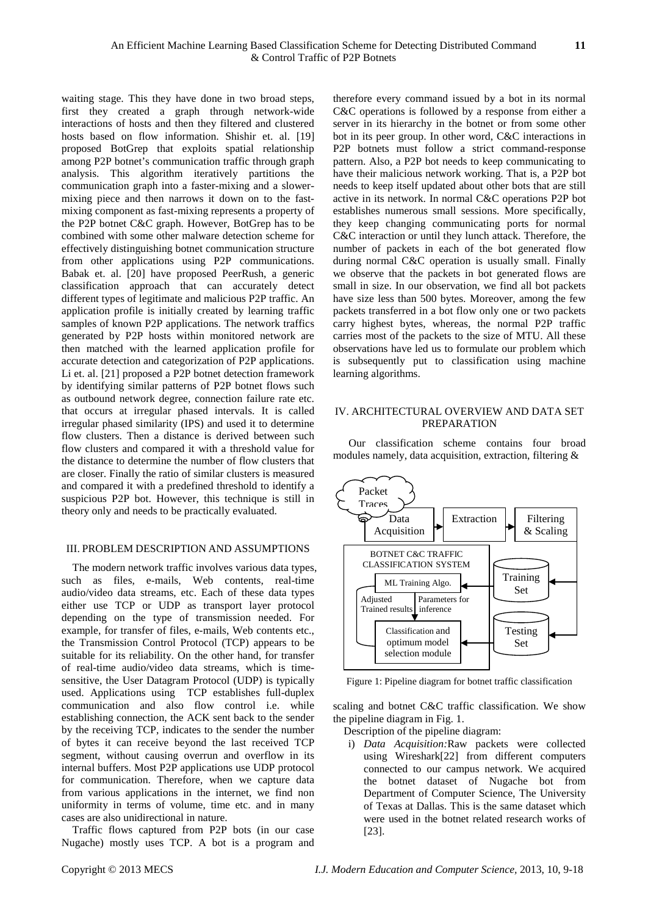waiting stage. This they have done in two broad steps, first they created a graph through network-wide interactions of hosts and then they filtered and clustered hosts based on flow information. Shishir et. al. [19] proposed BotGrep that exploits spatial relationship among P2P botnet's communication traffic through graph analysis. This algorithm iteratively partitions the communication graph into a faster-mixing and a slowermixing piece and then narrows it down on to the fastmixing component as fast-mixing represents a property of the P2P botnet C&C graph. However, BotGrep has to be combined with some other malware detection scheme for effectively distinguishing botnet communication structure from other applications using P2P communications. Babak et. al. [20] have proposed PeerRush, a generic classification approach that can accurately detect different types of legitimate and malicious P2P traffic. An application profile is initially created by learning traffic samples of known P2P applications. The network traffics generated by P2P hosts within monitored network are then matched with the learned application profile for accurate detection and categorization of P2P applications. Li et. al. [21] proposed a P2P botnet detection framework by identifying similar patterns of P2P botnet flows such as outbound network degree, connection failure rate etc. that occurs at irregular phased intervals. It is called irregular phased similarity (IPS) and used it to determine flow clusters. Then a distance is derived between such flow clusters and compared it with a threshold value for the distance to determine the number of flow clusters that are closer. Finally the ratio of similar clusters is measured and compared it with a predefined threshold to identify a suspicious P2P bot. However, this technique is still in theory only and needs to be practically evaluated.

# III. PROBLEM DESCRIPTION AND ASSUMPTIONS

The modern network traffic involves various data types, such as files, e-mails, Web contents, real-time audio/video data streams, etc. Each of these data types either use TCP or UDP as transport layer protocol depending on the type of transmission needed. For example, for transfer of files, e-mails, Web contents etc., the Transmission Control Protocol (TCP) appears to be suitable for its reliability. On the other hand, for transfer of real-time audio/video data streams, which is timesensitive, the User Datagram Protocol (UDP) is typically used. Applications using TCP establishes full-duplex communication and also flow control i.e. while establishing connection, the ACK sent back to the sender by the receiving TCP, indicates to the sender the number of bytes it can receive beyond the last received TCP segment, without causing overrun and overflow in its internal buffers. Most P2P applications use UDP protocol for communication. Therefore, when we capture data from various applications in the internet, we find non uniformity in terms of volume, time etc. and in many cases are also unidirectional in nature.

Traffic flows captured from P2P bots (in our case Nugache) mostly uses TCP. A bot is a program and therefore every command issued by a bot in its normal C&C operations is followed by a response from either a server in its hierarchy in the botnet or from some other bot in its peer group. In other word, C&C interactions in P2P botnets must follow a strict command-response pattern. Also, a P2P bot needs to keep communicating to have their malicious network working. That is, a P2P bot needs to keep itself updated about other bots that are still active in its network. In normal C&C operations P2P bot establishes numerous small sessions. More specifically, they keep changing communicating ports for normal C&C interaction or until they lunch attack. Therefore, the number of packets in each of the bot generated flow during normal C&C operation is usually small. Finally we observe that the packets in bot generated flows are small in size. In our observation, we find all bot packets have size less than 500 bytes. Moreover, among the few packets transferred in a bot flow only one or two packets carry highest bytes, whereas, the normal P2P traffic carries most of the packets to the size of MTU. All these observations have led us to formulate our problem which is subsequently put to classification using machine learning algorithms.

### IV. ARCHITECTURAL OVERVIEW AND DATA SET PREPARATION

Our classification scheme contains four broad modules namely, data acquisition, extraction, filtering &



Figure 1: Pipeline diagram for botnet traffic classification

scaling and botnet C&C traffic classification. We show the pipeline diagram in Fig. 1.

Description of the pipeline diagram:

i) *Data Acquisition:*Raw packets were collected using Wireshark[22] from different computers connected to our campus network. We acquired the botnet dataset of Nugache bot from Department of Computer Science, The University of Texas at Dallas. This is the same dataset which were used in the botnet related research works of [23].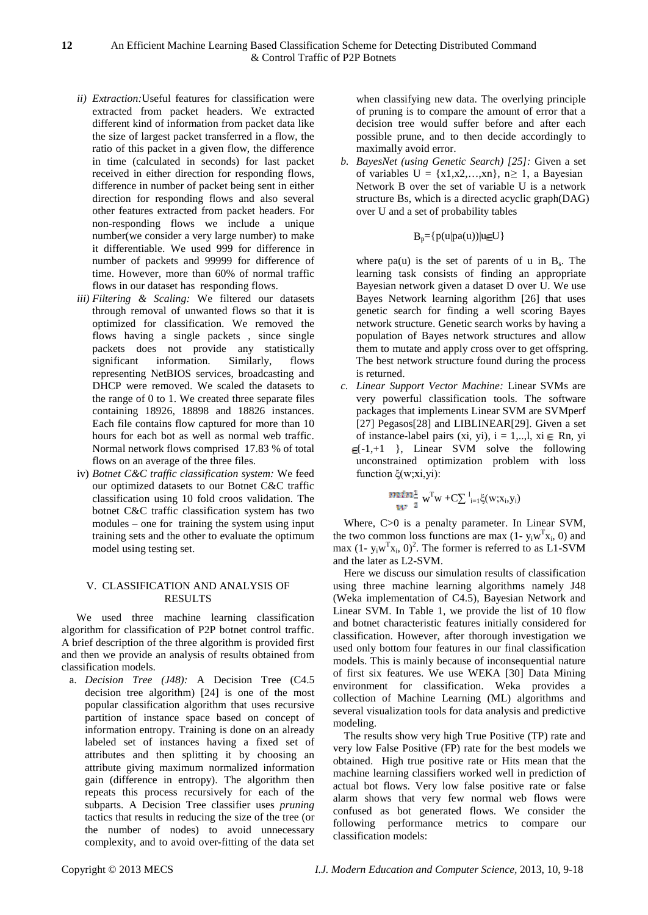- *ii) Extraction:*Useful features for classification were extracted from packet headers. We extracted different kind of information from packet data like the size of largest packet transferred in a flow, the ratio of this packet in a given flow, the difference in time (calculated in seconds) for last packet received in either direction for responding flows, difference in number of packet being sent in either direction for responding flows and also several other features extracted from packet headers. For non-responding flows we include a unique number(we consider a very large number) to make it differentiable. We used 999 for difference in number of packets and 99999 for difference of time. However, more than 60% of normal traffic flows in our dataset has responding flows.
- *iii) Filtering & Scaling:* We filtered our datasets through removal of unwanted flows so that it is optimized for classification. We removed the flows having a single packets , since single packets does not provide any statistically significant information. Similarly, flows representing NetBIOS services, broadcasting and DHCP were removed. We scaled the datasets to the range of 0 to 1. We created three separate files containing 18926, 18898 and 18826 instances. Each file contains flow captured for more than 10 hours for each bot as well as normal web traffic. Normal network flows comprised 17.83 % of total flows on an average of the three files.
- iv) *Botnet C&C traffic classification system:* We feed our optimized datasets to our Botnet C&C traffic classification using 10 fold croos validation. The botnet C&C traffic classification system has two modules – one for training the system using input training sets and the other to evaluate the optimum model using testing set.

#### V. CLASSIFICATION AND ANALYSIS OF RESULTS

We used three machine learning classification algorithm for classification of P2P botnet control traffic. A brief description of the three algorithm is provided first and then we provide an analysis of results obtained from classification models.

a. *Decision Tree (J48):* A Decision Tree (C4.5 decision tree algorithm) [24] is one of the most popular classification algorithm that uses recursive partition of instance space based on concept of information entropy. Training is done on an already labeled set of instances having a fixed set of attributes and then splitting it by choosing an attribute giving maximum normalized information gain (difference in entropy). The algorithm then repeats this process recursively for each of the subparts. A Decision Tree classifier uses *pruning* tactics that results in reducing the size of the tree (or the number of nodes) to avoid unnecessary complexity, and to avoid over-fitting of the data set

when classifying new data. The overlying principle of pruning is to compare the amount of error that a decision tree would suffer before and after each possible prune, and to then decide accordingly to maximally avoid error.

*b. BayesNet (using Genetic Search) [25]:* Given a set of variables  $U = \{x1, x2, \ldots, xn\}$ ,  $n \ge 1$ , a Bayesian Network B over the set of variable U is a network structure Bs, which is a directed acyclic graph(DAG) over U and a set of probability tables

$$
B_p = {p(u|pa(u))|u \in U}
$$

where  $pa(u)$  is the set of parents of u in  $B_s$ . The learning task consists of finding an appropriate Bayesian network given a dataset D over U. We use Bayes Network learning algorithm [26] that uses genetic search for finding a well scoring Bayes network structure. Genetic search works by having a population of Bayes network structures and allow them to mutate and apply cross over to get offspring. The best network structure found during the process is returned.

*c. Linear Support Vector Machine:* Linear SVMs are very powerful classification tools. The software packages that implements Linear SVM are SVMperf [27] Pegasos[28] and LIBLINEAR[29]. Given a set of instance-label pairs (xi, yi),  $i = 1,...,l$ ,  $xi \in Rn$ , yi  $\epsilon$ -1,+1 }, Linear SVM solve the following unconstrained optimization problem with loss function ξ(w;xi,yi):

$$
\overline{\text{min}} \frac{1}{2} w^T w + C \sum_{i=1}^l \xi(w; x_i, y_i)
$$

Where, C>0 is a penalty parameter. In Linear SVM, the two common loss functions are max  $(1 - y_iw^T x_i, 0)$  and max  $(1 - y_iw^T x_i, 0)^2$ . The former is referred to as L1-SVM and the later as L2-SVM.

Here we discuss our simulation results of classification using three machine learning algorithms namely J48 (Weka implementation of C4.5), Bayesian Network and Linear SVM. In Table 1, we provide the list of 10 flow and botnet characteristic features initially considered for classification. However, after thorough investigation we used only bottom four features in our final classification models. This is mainly because of inconsequential nature of first six features. We use WEKA [30] Data Mining environment for classification. Weka provides a collection of Machine Learning (ML) algorithms and several visualization tools for data analysis and predictive modeling.

The results show very high True Positive (TP) rate and very low False Positive (FP) rate for the best models we obtained. High true positive rate or Hits mean that the machine learning classifiers worked well in prediction of actual bot flows. Very low false positive rate or false alarm shows that very few normal web flows were confused as bot generated flows. We consider the following performance metrics to compare our classification models: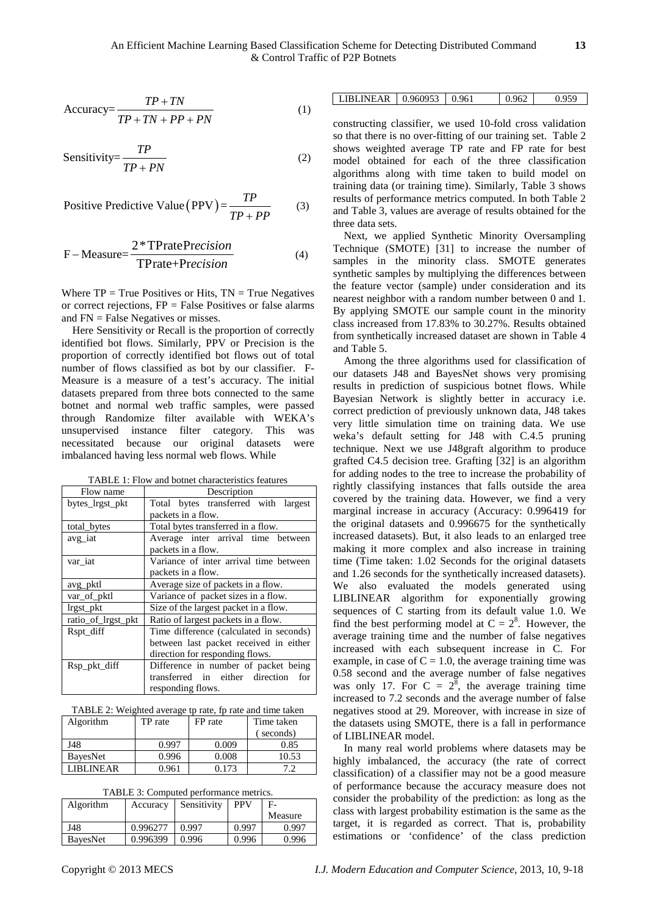$$
Accuracy = \frac{TP + TN}{TP + TN + PP + PN}
$$
 (1)

Sensitivity=
$$
\frac{TP}{TP + PN}
$$
 (2)

Positive Predictive Value (PPV) = 
$$
\frac{TP}{TP + PP}
$$
 (3)

$$
F-Measure = \frac{2*TPratePrecision}{TPrate+Precision}
$$
 (4)

Where  $TP = True$  Positives or Hits,  $TN = True$  Negatives or correct rejections,  $FP = False$  Positives or false alarms and FN = False Negatives or misses.

Here Sensitivity or Recall is the proportion of correctly identified bot flows. Similarly, PPV or Precision is the proportion of correctly identified bot flows out of total number of flows classified as bot by our classifier. F-Measure is a measure of a test's accuracy. The initial datasets prepared from three bots connected to the same botnet and normal web traffic samples, were passed through Randomize filter available with WEKA's unsupervised instance filter category. This was necessitated because our original datasets were imbalanced having less normal web flows. While

TABLE 1: Flow and botnet characteristics features

| Flow name          | Description                                                                                         |  |  |  |  |
|--------------------|-----------------------------------------------------------------------------------------------------|--|--|--|--|
| bytes_lrgst_pkt    | Total bytes transferred with largest                                                                |  |  |  |  |
|                    | packets in a flow.                                                                                  |  |  |  |  |
| total_bytes        | Total bytes transferred in a flow.                                                                  |  |  |  |  |
| avg iat            | Average inter arrival time between<br>packets in a flow.                                            |  |  |  |  |
| var_iat            | Variance of inter arrival time between<br>packets in a flow.                                        |  |  |  |  |
| avg_pktl           | Average size of packets in a flow.                                                                  |  |  |  |  |
| var_of_pktl        | Variance of packet sizes in a flow.                                                                 |  |  |  |  |
| lrgst_pkt          | Size of the largest packet in a flow.                                                               |  |  |  |  |
| ratio_of_lrgst_pkt | Ratio of largest packets in a flow.                                                                 |  |  |  |  |
| Rspt_diff          | Time difference (calculated in seconds)                                                             |  |  |  |  |
|                    | between last packet received in either                                                              |  |  |  |  |
|                    | direction for responding flows.                                                                     |  |  |  |  |
| Rsp_pkt_diff       | Difference in number of packet being<br>transferred in either direction<br>for<br>responding flows. |  |  |  |  |

TABLE 2: Weighted average tp rate, fp rate and time taken

| TP rate | FP rate | Time taken |
|---------|---------|------------|
|         |         | seconds)   |
| 0.997   | 0.009   | 0.85       |
| 0.996   | 0.008   | 10.53      |
| 0.961   | 0.173   |            |
|         |         |            |

TABLE 3: Computed performance metrics.

| Algorithm | Accuracy | Sensitivity | <b>PPV</b> | F-      |  |
|-----------|----------|-------------|------------|---------|--|
|           |          |             |            | Measure |  |
| J48       | 0.996277 | 0.997       | 0.997      | 0.997   |  |
| BavesNet  | 0.996399 | 0.996       | 0.996      | 0.996   |  |

| LIBLINEAR   0.960953   0.961<br>0.962<br>0.959 |
|------------------------------------------------|
|------------------------------------------------|

constructing classifier, we used 10-fold cross validation so that there is no over-fitting of our training set. Table 2 shows weighted average TP rate and FP rate for best model obtained for each of the three classification algorithms along with time taken to build model on training data (or training time). Similarly, Table 3 shows results of performance metrics computed. In both Table 2 and Table 3, values are average of results obtained for the three data sets.

Next, we applied Synthetic Minority Oversampling Technique (SMOTE) [31] to increase the number of samples in the minority class. SMOTE generates synthetic samples by multiplying the differences between the feature vector (sample) under consideration and its nearest neighbor with a random number between 0 and 1. By applying SMOTE our sample count in the minority class increased from 17.83% to 30.27%. Results obtained from synthetically increased dataset are shown in Table 4 and Table 5.

Among the three algorithms used for classification of our datasets J48 and BayesNet shows very promising results in prediction of suspicious botnet flows. While Bayesian Network is slightly better in accuracy i.e. correct prediction of previously unknown data, J48 takes very little simulation time on training data. We use weka's default setting for J48 with C.4.5 pruning technique. Next we use J48graft algorithm to produce grafted C4.5 decision tree. Grafting [32] is an algorithm for adding nodes to the tree to increase the probability of rightly classifying instances that falls outside the area covered by the training data. However, we find a very marginal increase in accuracy (Accuracy: 0.996419 for the original datasets and 0.996675 for the synthetically increased datasets). But, it also leads to an enlarged tree making it more complex and also increase in training time (Time taken: 1.02 Seconds for the original datasets and 1.26 seconds for the synthetically increased datasets). We also evaluated the models generated using LIBLINEAR algorithm for exponentially growing sequences of C starting from its default value 1.0. We find the best performing model at  $C = 2<sup>8</sup>$ . However, the average training time and the number of false negatives increased with each subsequent increase in C. For example, in case of  $C = 1.0$ , the average training time was 0.58 second and the average number of false negatives was only 17. For  $C = 2^8$ , the average training time increased to 7.2 seconds and the average number of false negatives stood at 29. Moreover, with increase in size of the datasets using SMOTE, there is a fall in performance of LIBLINEAR model.

In many real world problems where datasets may be highly imbalanced, the accuracy (the rate of correct classification) of a classifier may not be a good measure of performance because the accuracy measure does not consider the probability of the prediction: as long as the class with largest probability estimation is the same as the target, it is regarded as correct. That is, probability estimations or 'confidence' of the class prediction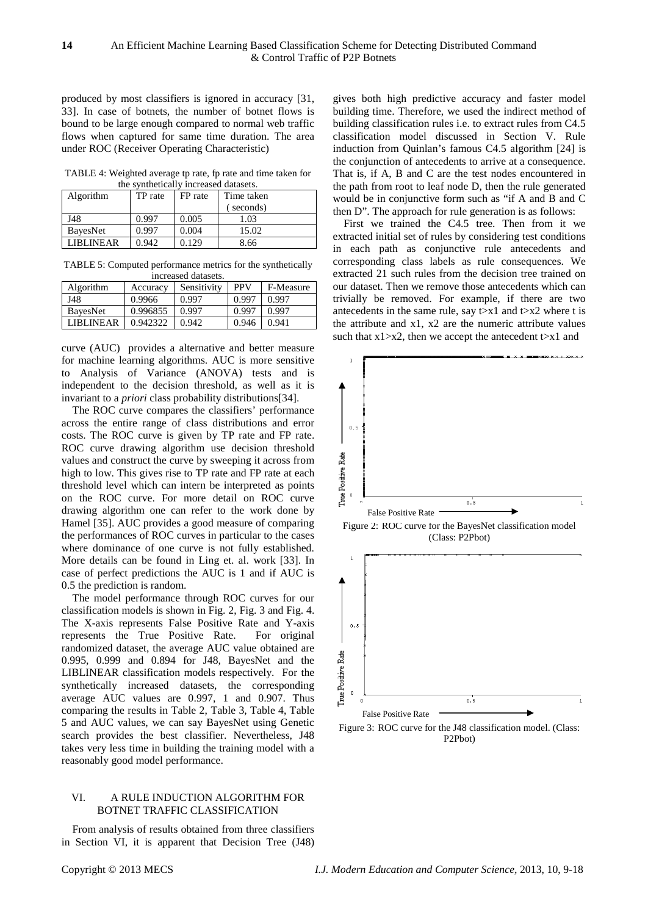produced by most classifiers is ignored in accuracy [31, 33]. In case of botnets, the number of botnet flows is bound to be large enough compared to normal web traffic flows when captured for same time duration. The area under ROC (Receiver Operating Characteristic)

TABLE 4: Weighted average tp rate, fp rate and time taken for the synthetically increased datasets.

| Algorithm       | TP rate | FP rate | Time taken |
|-----------------|---------|---------|------------|
|                 |         |         | seconds)   |
| J48             | 0.997   | 0.005   | 1.03       |
| <b>BavesNet</b> | 0.997   | 0.004   | 15.02      |
| LIBLINEAR       | 0.942   | 0.129   | 8.66       |

TABLE 5: Computed performance metrics for the synthetically increased datasets.

| mercuscu uuusets. |          |             |            |           |  |
|-------------------|----------|-------------|------------|-----------|--|
| Algorithm         | Accuracy | Sensitivity | <b>PPV</b> | F-Measure |  |
| J48               | 0.9966   | 0.997       | 0.997      | 0.997     |  |
| BayesNet          | 0.996855 | 0.997       | 0.997      | 0.997     |  |
| <b>LIBLINEAR</b>  | 0.942322 | 0.942       | 0.946      | 0.941     |  |

curve (AUC) provides a alternative and better measure for machine learning algorithms. AUC is more sensitive to Analysis of Variance (ANOVA) tests and is independent to the decision threshold, as well as it is invariant to a *priori* class probability distributions[34].

The ROC curve compares the classifiers' performance across the entire range of class distributions and error costs. The ROC curve is given by TP rate and FP rate. ROC curve drawing algorithm use decision threshold values and construct the curve by sweeping it across from high to low. This gives rise to TP rate and FP rate at each threshold level which can intern be interpreted as points on the ROC curve. For more detail on ROC curve drawing algorithm one can refer to the work done by Hamel [35]. AUC provides a good measure of comparing the performances of ROC curves in particular to the cases where dominance of one curve is not fully established. More details can be found in Ling et. al. work [33]. In case of perfect predictions the AUC is 1 and if AUC is 0.5 the prediction is random.

The model performance through ROC curves for our classification models is shown in Fig. 2, Fig. 3 and Fig. 4. The X-axis represents False Positive Rate and Y-axis represents the True Positive Rate. For original randomized dataset, the average AUC value obtained are 0.995, 0.999 and 0.894 for J48, BayesNet and the LIBLINEAR classification models respectively. For the synthetically increased datasets, the corresponding average AUC values are 0.997, 1 and 0.907. Thus comparing the results in Table 2, Table 3, Table 4, Table 5 and AUC values, we can say BayesNet using Genetic search provides the best classifier. Nevertheless, J48 takes very less time in building the training model with a reasonably good model performance.

#### VI. A RULE INDUCTION ALGORITHM FOR BOTNET TRAFFIC CLASSIFICATION

From analysis of results obtained from three classifiers in Section VI, it is apparent that Decision Tree (J48) gives both high predictive accuracy and faster model building time. Therefore, we used the indirect method of building classification rules i.e. to extract rules from C4.5 classification model discussed in Section V. Rule induction from Quinlan's famous C4.5 algorithm [24] is the conjunction of antecedents to arrive at a consequence. That is, if A, B and C are the test nodes encountered in the path from root to leaf node D, then the rule generated would be in conjunctive form such as "if A and B and C then D". The approach for rule generation is as follows:

First we trained the C4.5 tree. Then from it we extracted initial set of rules by considering test conditions in each path as conjunctive rule antecedents and corresponding class labels as rule consequences. We extracted 21 such rules from the decision tree trained on our dataset. Then we remove those antecedents which can trivially be removed. For example, if there are two antecedents in the same rule, say  $t > x1$  and  $t > x2$  where t is the attribute and x1, x2 are the numeric attribute values such that  $x1 > x2$ , then we accept the antecedent  $t > x1$  and



Figure 3: ROC curve for the J48 classification model. (Class: P2Pbot)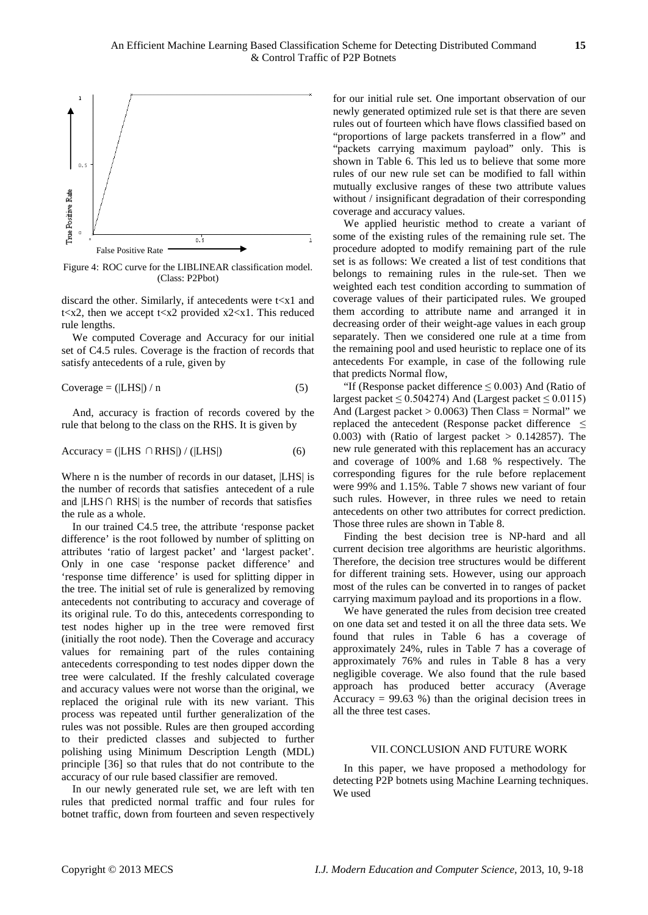

Figure 4: ROC curve for the LIBLINEAR classification model. (Class: P2Pbot)

discard the other. Similarly, if antecedents were  $t < x1$  and t $\langle x \rangle$ , then we accept t $\langle x \rangle$  provided x2 $\langle x \rangle$ . This reduced rule lengths.

We computed Coverage and Accuracy for our initial set of C4.5 rules. Coverage is the fraction of records that satisfy antecedents of a rule, given by

$$
Coverage = (|LHS|) / n \tag{5}
$$

And, accuracy is fraction of records covered by the rule that belong to the class on the RHS. It is given by

$$
Accuracy = (|LHS \cap RHS|) / (|LHS|)
$$
 (6)

Where n is the number of records in our dataset, [LHS] is the number of records that satisfies antecedent of a rule and |LHS ∩ RHS| is the number of records that satisfies the rule as a whole.

In our trained C4.5 tree, the attribute 'response packet difference' is the root followed by number of splitting on attributes 'ratio of largest packet' and 'largest packet'. Only in one case 'response packet difference' and 'response time difference' is used for splitting dipper in the tree. The initial set of rule is generalized by removing antecedents not contributing to accuracy and coverage of its original rule. To do this, antecedents corresponding to test nodes higher up in the tree were removed first (initially the root node). Then the Coverage and accuracy values for remaining part of the rules containing antecedents corresponding to test nodes dipper down the tree were calculated. If the freshly calculated coverage and accuracy values were not worse than the original, we replaced the original rule with its new variant. This process was repeated until further generalization of the rules was not possible. Rules are then grouped according to their predicted classes and subjected to further polishing using Minimum Description Length (MDL) principle [36] so that rules that do not contribute to the accuracy of our rule based classifier are removed.

In our newly generated rule set, we are left with ten rules that predicted normal traffic and four rules for botnet traffic, down from fourteen and seven respectively for our initial rule set. One important observation of our newly generated optimized rule set is that there are seven rules out of fourteen which have flows classified based on "proportions of large packets transferred in a flow" and "packets carrying maximum payload" only. This is shown in Table 6. This led us to believe that some more rules of our new rule set can be modified to fall within mutually exclusive ranges of these two attribute values without / insignificant degradation of their corresponding coverage and accuracy values.

We applied heuristic method to create a variant of some of the existing rules of the remaining rule set. The procedure adopted to modify remaining part of the rule set is as follows: We created a list of test conditions that belongs to remaining rules in the rule-set. Then we weighted each test condition according to summation of coverage values of their participated rules. We grouped them according to attribute name and arranged it in decreasing order of their weight-age values in each group separately. Then we considered one rule at a time from the remaining pool and used heuristic to replace one of its antecedents For example, in case of the following rule that predicts Normal flow,

"If (Response packet difference  $\leq 0.003$ ) And (Ratio of largest packet  $\leq 0.504274$ ) And (Largest packet  $\leq 0.0115$ ) And (Largest packet  $> 0.0063$ ) Then Class = Normal" we replaced the antecedent (Response packet difference ≤ 0.003) with (Ratio of largest packet  $> 0.142857$ ). The new rule generated with this replacement has an accuracy and coverage of 100% and 1.68 % respectively. The corresponding figures for the rule before replacement were 99% and 1.15%. Table 7 shows new variant of four such rules. However, in three rules we need to retain antecedents on other two attributes for correct prediction. Those three rules are shown in Table 8.

Finding the best decision tree is NP-hard and all current decision tree algorithms are heuristic algorithms. Therefore, the decision tree structures would be different for different training sets. However, using our approach most of the rules can be converted in to ranges of packet carrying maximum payload and its proportions in a flow.

We have generated the rules from decision tree created on one data set and tested it on all the three data sets. We found that rules in Table 6 has a coverage of approximately 24%, rules in Table 7 has a coverage of approximately 76% and rules in Table 8 has a very negligible coverage. We also found that the rule based approach has produced better accuracy (Average Accuracy =  $99.63$  %) than the original decision trees in all the three test cases.

#### VII.CONCLUSION AND FUTURE WORK

In this paper, we have proposed a methodology for detecting P2P botnets using Machine Learning techniques. We used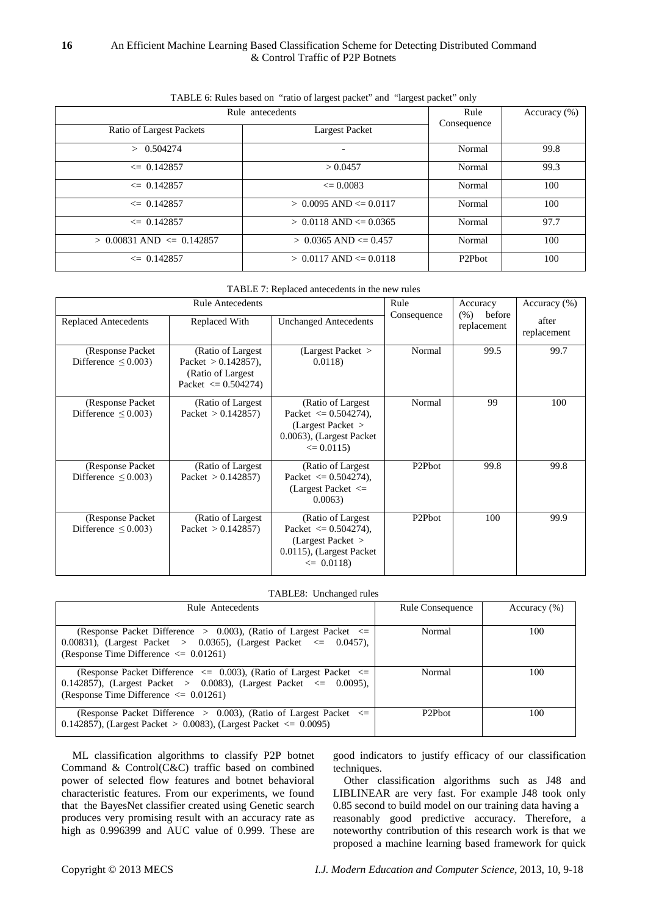# **16** An Efficient Machine Learning Based Classification Scheme for Detecting Distributed Command & Control Traffic of P2P Botnets

| Rule antecedents                |                              | Rule                | Accuracy (%) |  |
|---------------------------------|------------------------------|---------------------|--------------|--|
| <b>Ratio of Largest Packets</b> | <b>Largest Packet</b>        | Consequence         |              |  |
| > 0.504274                      |                              | Normal              | 99.8         |  |
| $\leq 0.142857$                 | > 0.0457                     | Normal              | 99.3         |  |
| $\leq$ 0.142857                 | $\epsilon = 0.0083$          | Normal              | 100          |  |
| $\leq$ 0.142857                 | $> 0.0095$ AND $\leq 0.0117$ | Normal              | 100          |  |
| $\leq 0.142857$                 | $> 0.0118$ AND $\leq 0.0365$ | Normal              | 97.7         |  |
| $> 0.00831$ AND $\leq 0.142857$ | $> 0.0365$ AND $\leq 0.457$  | Normal              | 100          |  |
| $\leq 0.142857$                 | $> 0.0117$ AND $\leq 0.0118$ | P <sub>2</sub> Pbot | 100          |  |

|  | TABLE 6: Rules based on "ratio of largest packet" and "largest packet" only |  |
|--|-----------------------------------------------------------------------------|--|
|--|-----------------------------------------------------------------------------|--|

|                                                | Rule<br><b>Rule Antecedents</b>                                                              |                                                                                                                  | Accuracy<br>(% )<br>before | Accuracy $(\% )$ |                      |
|------------------------------------------------|----------------------------------------------------------------------------------------------|------------------------------------------------------------------------------------------------------------------|----------------------------|------------------|----------------------|
| Replaced Antecedents                           | Replaced With                                                                                | <b>Unchanged Antecedents</b>                                                                                     | Consequence                | replacement      | after<br>replacement |
| (Response Packet)<br>Difference $\leq 0.003$ ) | (Ratio of Largest)<br>Packet $> 0.142857$ ),<br>(Ratio of Largest)<br>Packet $\leq 0.504274$ | (Largest Packet ><br>0.0118                                                                                      | Normal                     | 99.5             | 99.7                 |
| (Response Packet)<br>Difference $\leq 0.003$ ) | (Ratio of Largest)<br>Packet $> 0.142857$ )                                                  | (Ratio of Largest)<br>Packet $\leq 0.504274$ .<br>(Largest Packet ><br>0.0063), (Largest Packet<br>$\leq 0.0115$ | Normal                     | 99               | 100                  |
| (Response Packet)<br>Difference $\leq 0.003$ ) | (Ratio of Largest)<br>Packet $> 0.142857$ )                                                  | (Ratio of Largest)<br>Packet $\leq 0.504274$ .<br>(Largest Packet $\leq$<br>0.0063                               | P <sub>2</sub> Pbot        | 99.8             | 99.8                 |
| (Response Packet)<br>Difference $\leq 0.003$ ) | (Ratio of Largest)<br>Packet $> 0.142857$ )                                                  | (Ratio of Largest)<br>Packet $\leq 0.504274$ ,<br>(Largest Packet ><br>0.0115), (Largest Packet<br>$\leq 0.0118$ | P <sub>2</sub> Pbot        | 100              | 99.9                 |

| Rule Antecedents                                                                                                                                                                                  | Rule Consequence    | Accuracy $(\% )$ |
|---------------------------------------------------------------------------------------------------------------------------------------------------------------------------------------------------|---------------------|------------------|
| (Response Packet Difference $> 0.003$ ), (Ratio of Largest Packet $\le$<br>0.00831), (Largest Packet > 0.0365), (Largest Packet $\leq$ 0.0457),<br>(Response Time Difference $\leq 0.01261$ )     | Normal              | 100              |
| (Response Packet Difference $\leq$ 0.003), (Ratio of Largest Packet $\leq$<br>0.142857), (Largest Packet > 0.0083), (Largest Packet $\leq$ 0.0095),<br>(Response Time Difference $\leq 0.01261$ ) | Normal              | 100              |
| (Response Packet Difference $> 0.003$ ), (Ratio of Largest Packet $\le$<br>0.142857), (Largest Packet > 0.0083), (Largest Packet $\leq$ 0.0095)                                                   | P <sub>2</sub> Phot | 100              |

ML classification algorithms to classify P2P botnet Command & Control(C&C) traffic based on combined power of selected flow features and botnet behavioral characteristic features. From our experiments, we found that the BayesNet classifier created using Genetic search produces very promising result with an accuracy rate as high as 0.996399 and AUC value of 0.999. These are

good indicators to justify efficacy of our classification techniques.

Other classification algorithms such as J48 and LIBLINEAR are very fast. For example J48 took only 0.85 second to build model on our training data having a reasonably good predictive accuracy. Therefore, a noteworthy contribution of this research work is that we proposed a machine learning based framework for quick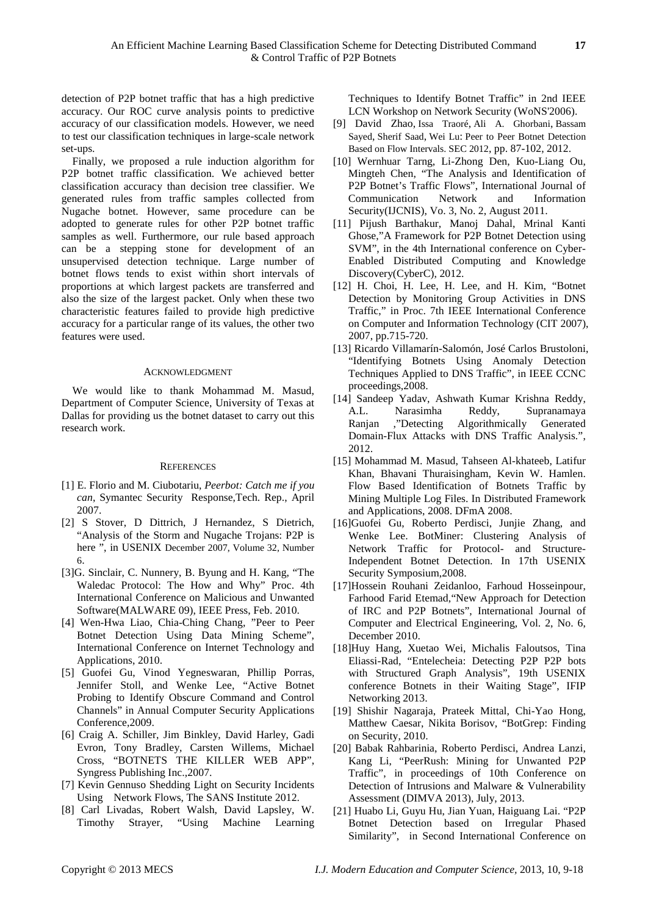detection of P2P botnet traffic that has a high predictive accuracy. Our ROC curve analysis points to predictive accuracy of our classification models. However, we need to test our classification techniques in large-scale network set-ups.

Finally, we proposed a rule induction algorithm for P2P botnet traffic classification. We achieved better classification accuracy than decision tree classifier. We generated rules from traffic samples collected from Nugache botnet. However, same procedure can be adopted to generate rules for other P2P botnet traffic samples as well. Furthermore, our rule based approach can be a stepping stone for development of an unsupervised detection technique. Large number of botnet flows tends to exist within short intervals of proportions at which largest packets are transferred and also the size of the largest packet. Only when these two characteristic features failed to provide high predictive accuracy for a particular range of its values, the other two features were used.

#### ACKNOWLEDGMENT

We would like to thank Mohammad M. Masud, Department of Computer Science, University of Texas at Dallas for providing us the botnet dataset to carry out this research work.

#### **REFERENCES**

- [1] E. Florio and M. Ciubotariu, *Peerbot: Catch me if you can*, Symantec Security Response,Tech. Rep., April 2007.
- [2] S Stover, D Dittrich, J Hernandez, S Dietrich, "Analysis of the Storm and Nugache Trojans: P2P is here ", in USENIX [December 2007, Volume 32, Number](https://www.usenix.org/publications/login/december-2007-volume-32-number-6)  [6.](https://www.usenix.org/publications/login/december-2007-volume-32-number-6)
- [3]G. Sinclair, C. Nunnery, B. Byung and H. Kang, "The Waledac Protocol: The How and Why" Proc. 4th International Conference on Malicious and Unwanted Software(MALWARE 09), IEEE Press, Feb. 2010.
- [4] Wen-Hwa Liao, Chia-Ching Chang, "Peer to Peer Botnet Detection Using Data Mining Scheme", International Conference on Internet Technology and Applications, 2010.
- [5] Guofei Gu, Vinod Yegneswaran, Phillip Porras, Jennifer Stoll, and Wenke Lee, "Active Botnet Probing to Identify Obscure Command and Control Channels" in Annual Computer Security Applications Conference,2009.
- [6] Craig A. Schiller, Jim Binkley, David Harley, Gadi Evron, Tony Bradley, Carsten Willems, Michael Cross, "BOTNETS THE KILLER WEB APP", Syngress Publishing Inc.,2007.
- [7] Kevin Gennuso Shedding Light on Security Incidents Using Network Flows, The SANS Institute 2012.
- [8] Carl Livadas, Robert Walsh, David Lapsley, W. Timothy Strayer, "Using Machine Learning

Techniques to Identify Botnet Traffic" in 2nd IEEE LCN Workshop on Network Security (WoNS'2006).

- [9] David Zhao, [Issa Traoré,](http://www.informatik.uni-trier.de/~ley/pers/hd/t/Traor=eacute=:Issa.html) [Ali A. Ghorbani,](http://www.informatik.uni-trier.de/~ley/pers/hd/g/Ghorbani:Ali_A=.html) [Bassam](http://www.informatik.uni-trier.de/~ley/pers/hd/s/Sayed:Bassam.html)  [Sayed,](http://www.informatik.uni-trier.de/~ley/pers/hd/s/Sayed:Bassam.html) Sherif Saad, [Wei Lu:](http://www.informatik.uni-trier.de/~ley/pers/hd/l/Lu:Wei.html) Peer to Peer Botnet Detection Based on Flow Intervals. [SEC 2012,](http://www.informatik.uni-trier.de/~ley/db/conf/sec/sec2012.html#ZhaoTGSSL12) pp. 87-102, 2012.
- [10] Wernhuar Tarng, Li-Zhong Den, Kuo-Liang Ou, Mingteh Chen, "The Analysis and Identification of P2P Botnet's Traffic Flows", International Journal of Communication Network and Information Security(IJCNIS), Vo. 3, No. 2, August 2011.
- [11] Pijush Barthakur, Manoj Dahal, Mrinal Kanti Ghose,"A Framework for P2P Botnet Detection using SVM", in the 4th International conference on Cyber-Enabled Distributed Computing and Knowledge Discovery(CyberC), 2012.
- [12] H. Choi, H. Lee, H. Lee, and H. Kim, "Botnet Detection by Monitoring Group Activities in DNS Traffic," in Proc. 7th IEEE International Conference on Computer and Information Technology (CIT 2007), 2007, pp.715-720.
- [13] Ricardo Villamarín-Salomón, José Carlos Brustoloni, "Identifying Botnets Using Anomaly Detection Techniques Applied to DNS Traffic", in IEEE CCNC proceedings,2008.
- [14] Sandeep Yadav, Ashwath Kumar Krishna Reddy, A.L. Narasimha Reddy, Supranamaya Ranjan ,"Detecting Algorithmically Generated Domain-Flux Attacks with DNS Traffic Analysis.", 2012.
- [15] Mohammad M. Masud, Tahseen Al-khateeb, Latifur Khan, Bhavani Thuraisingham, Kevin W. Hamlen. Flow Based Identification of Botnets Traffic by Mining Multiple Log Files. In Distributed Framework and Applications, 2008. DFmA 2008.
- [16]Guofei Gu, Roberto Perdisci, Junjie Zhang, and Wenke Lee. BotMiner: Clustering Analysis of Network Traffic for Protocol- and Structure-Independent Botnet Detection. In 17th USENIX Security Symposium,2008.
- [17]Hossein Rouhani Zeidanloo, Farhoud Hosseinpour, Farhood Farid Etemad,"New Approach for Detection of IRC and P2P Botnets", International Journal of Computer and Electrical Engineering, Vol. 2, No. 6, December 2010.
- [18]Huy Hang, Xuetao Wei, Michalis Faloutsos, Tina Eliassi-Rad, "Entelecheia: Detecting P2P P2P bots with Structured Graph Analysis", 19th USENIX conference Botnets in their Waiting Stage", IFIP Networking 2013.
- [19] Shishir Nagaraja, Prateek Mittal, Chi-Yao Hong, Matthew Caesar, Nikita Borisov, "BotGrep: Finding on Security, 2010.
- [20] Babak Rahbarinia, Roberto Perdisci, Andrea Lanzi, Kang Li, "PeerRush: Mining for Unwanted P2P Traffic", in proceedings of 10th Conference on Detection of Intrusions and Malware & Vulnerability Assessment (DIMVA 2013), July, 2013.
- [21] Huabo Li, Guyu Hu, Jian Yuan, Haiguang Lai. "P2P Botnet Detection based on Irregular Phased Similarity", in Second International Conference on